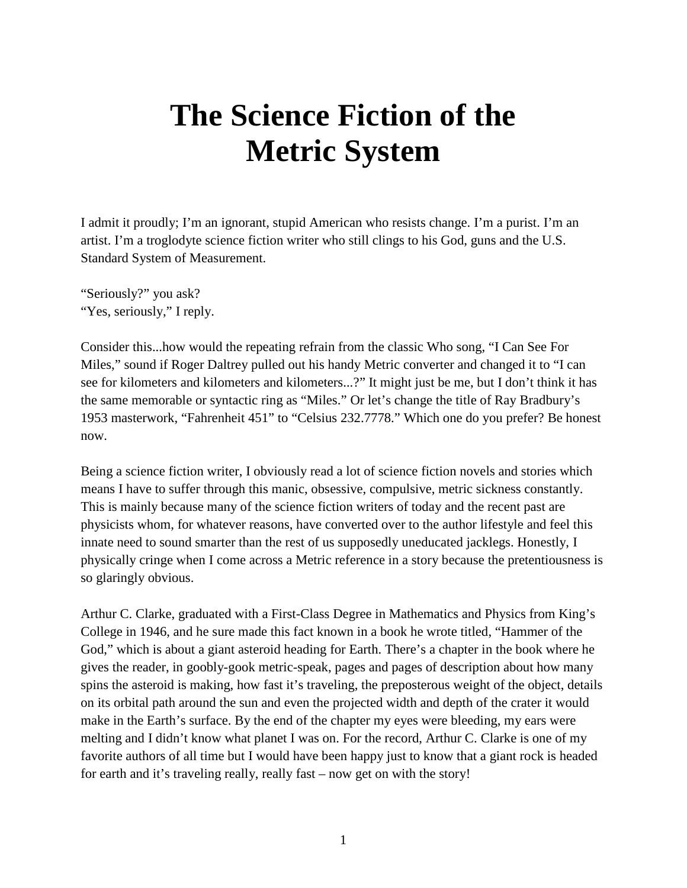## **The Science Fiction of the Metric System**

I admit it proudly; I'm an ignorant, stupid American who resists change. I'm a purist. I'm an artist. I'm a troglodyte science fiction writer who still clings to his God, guns and the U.S. Standard System of Measurement.

"Seriously?" you ask? "Yes, seriously," I reply.

Consider this...how would the repeating refrain from the classic Who song, "I Can See For Miles," sound if Roger Daltrey pulled out his handy Metric converter and changed it to "I can see for kilometers and kilometers and kilometers...?" It might just be me, but I don't think it has the same memorable or syntactic ring as "Miles." Or let's change the title of Ray Bradbury's 1953 masterwork, "Fahrenheit 451" to "Celsius 232.7778." Which one do you prefer? Be honest now.

Being a science fiction writer, I obviously read a lot of science fiction novels and stories which means I have to suffer through this manic, obsessive, compulsive, metric sickness constantly. This is mainly because many of the science fiction writers of today and the recent past are physicists whom, for whatever reasons, have converted over to the author lifestyle and feel this innate need to sound smarter than the rest of us supposedly uneducated jacklegs. Honestly, I physically cringe when I come across a Metric reference in a story because the pretentiousness is so glaringly obvious.

Arthur C. Clarke, graduated with a First-Class Degree in Mathematics and Physics from King's College in 1946, and he sure made this fact known in a book he wrote titled, "Hammer of the God," which is about a giant asteroid heading for Earth. There's a chapter in the book where he gives the reader, in goobly-gook metric-speak, pages and pages of description about how many spins the asteroid is making, how fast it's traveling, the preposterous weight of the object, details on its orbital path around the sun and even the projected width and depth of the crater it would make in the Earth's surface. By the end of the chapter my eyes were bleeding, my ears were melting and I didn't know what planet I was on. For the record, Arthur C. Clarke is one of my favorite authors of all time but I would have been happy just to know that a giant rock is headed for earth and it's traveling really, really fast – now get on with the story!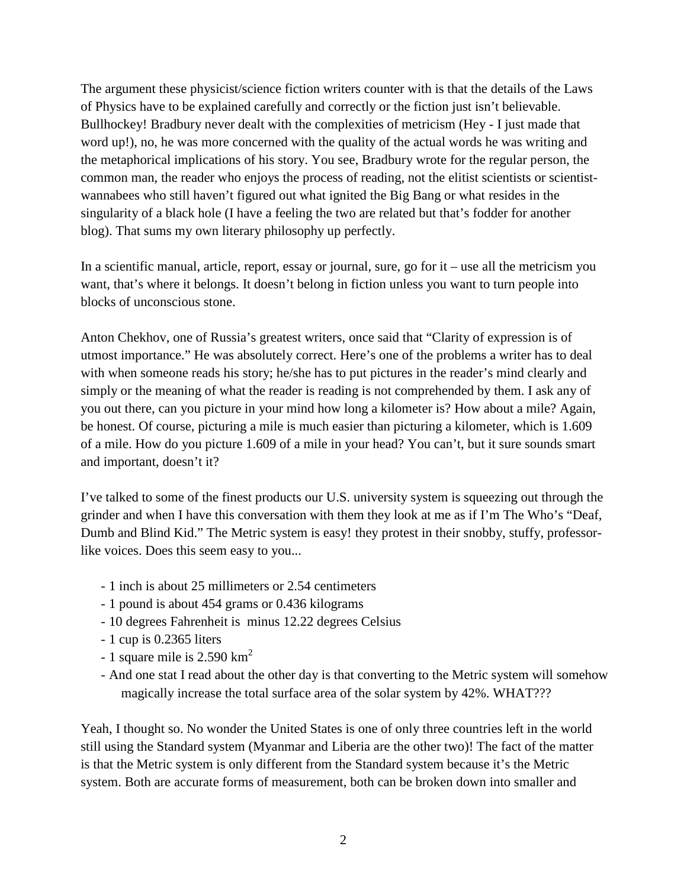The argument these physicist/science fiction writers counter with is that the details of the Laws of Physics have to be explained carefully and correctly or the fiction just isn't believable. Bullhockey! Bradbury never dealt with the complexities of metricism (Hey - I just made that word up!), no, he was more concerned with the quality of the actual words he was writing and the metaphorical implications of his story. You see, Bradbury wrote for the regular person, the common man, the reader who enjoys the process of reading, not the elitist scientists or scientistwannabees who still haven't figured out what ignited the Big Bang or what resides in the singularity of a black hole (I have a feeling the two are related but that's fodder for another blog). That sums my own literary philosophy up perfectly.

In a scientific manual, article, report, essay or journal, sure, go for it – use all the metricism you want, that's where it belongs. It doesn't belong in fiction unless you want to turn people into blocks of unconscious stone.

Anton Chekhov, one of Russia's greatest writers, once said that "Clarity of expression is of utmost importance." He was absolutely correct. Here's one of the problems a writer has to deal with when someone reads his story; he/she has to put pictures in the reader's mind clearly and simply or the meaning of what the reader is reading is not comprehended by them. I ask any of you out there, can you picture in your mind how long a kilometer is? How about a mile? Again, be honest. Of course, picturing a mile is much easier than picturing a kilometer, which is 1.609 of a mile. How do you picture 1.609 of a mile in your head? You can't, but it sure sounds smart and important, doesn't it?

I've talked to some of the finest products our U.S. university system is squeezing out through the grinder and when I have this conversation with them they look at me as if I'm The Who's "Deaf, Dumb and Blind Kid." The Metric system is easy! they protest in their snobby, stuffy, professorlike voices. Does this seem easy to you...

- 1 inch is about 25 millimeters or 2.54 centimeters
- 1 pound is about 454 grams or 0.436 kilograms
- 10 degrees Fahrenheit is minus 12.22 degrees Celsius
- 1 cup is 0.2365 liters
- 1 square mile is  $2.590 \text{ km}^2$
- And one stat I read about the other day is that converting to the Metric system will somehow magically increase the total surface area of the solar system by 42%. WHAT???

Yeah, I thought so. No wonder the United States is one of only three countries left in the world still using the Standard system (Myanmar and Liberia are the other two)! The fact of the matter is that the Metric system is only different from the Standard system because it's the Metric system. Both are accurate forms of measurement, both can be broken down into smaller and